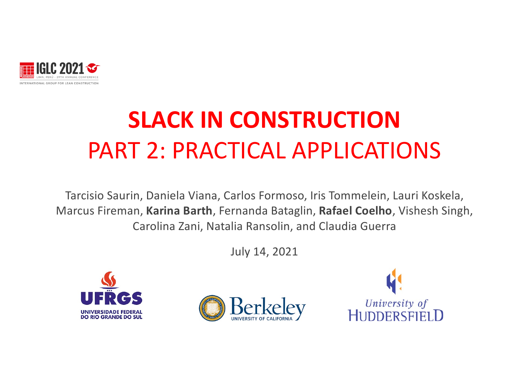

# **SLACK IN CONSTRUCTION**  PART 2: PRACTICAL APPLICATIONS

Tarcisio Saurin, Daniela Viana, Carlos Formoso, Iris Tommelein, Lauri Koskela, Marcus Fireman, **Karina Barth**, Fernanda Bataglin, **Rafael Coelho**, Vishesh Singh, Carolina Zani, Natalia Ransolin, and Claudia Guerra

July 14, 2021





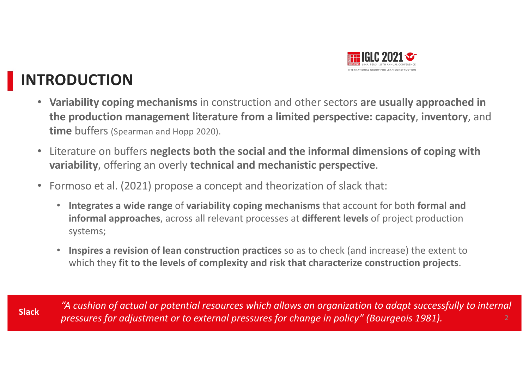

### **INTRODUCTION**

- **Variability coping mechanisms** in construction and other sectors **are usually approached in the production management literature from a limited perspective: capacity**, **inventory**, and **time** buffers (Spearman and Hopp 2020).
- Literature on buffers **neglects both the social and the informal dimensions of coping with variability**, offering an overly **technical and mechanistic perspective**.
- Formoso et al. (2021) propose a concept and theorization of slack that:
	- **Integrates a wide range** of **variability coping mechanisms** that account for both **formal and informal approaches**, across all relevant processes at **different levels** of project production systems;
	- **Inspires a revision of lean construction practices** so as to check (and increase) the extent to which they **fit to the levels of complexity and risk that characterize construction projects**.

*"A cushion of actual or potential resources which allows an organization to adapt successfully to internal pressures for adjustment or to external pressures for change in policy" (Bourgeois 1981).* **Slack**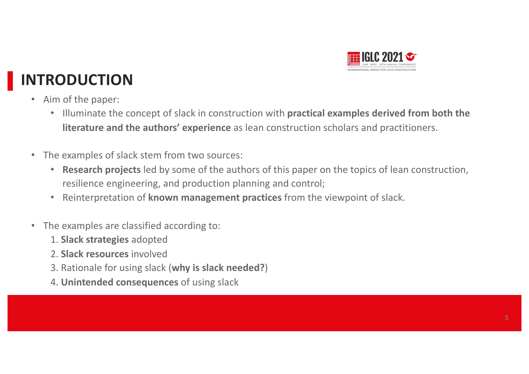

## **INTRODUCTION**

- Aim of the paper:
	- Illuminate the concept of slack in construction with **practical examples derived from both the literature and the authors' experience** as lean construction scholars and practitioners.
- The examples of slack stem from two sources:
	- **Research projects** led by some of the authors of this paper on the topics of lean construction, resilience engineering, and production planning and control;
	- Reinterpretation of **known management practices** from the viewpoint of slack.
- The examples are classified according to:
	- 1. **Slack strategies** adopted
	- 2. **Slack resources** involved
	- 3. Rationale for using slack (**why is slack needed?**)
	- 4. **Unintended consequences** of using slack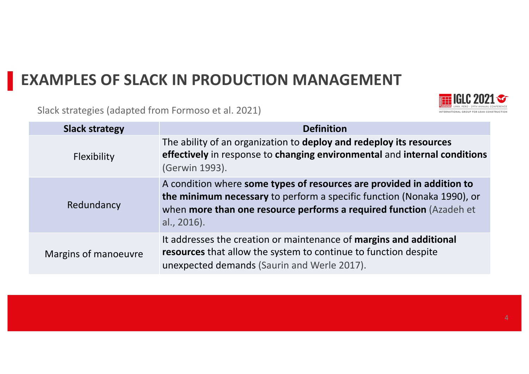### **EXAMPLES OF SLACK IN PRODUCTION MANAGEMENT**

Slack strategies (adapted from Formoso et al. 2021)



| <b>Slack strategy</b> | <b>Definition</b>                                                                                                                                                                                                                     |  |
|-----------------------|---------------------------------------------------------------------------------------------------------------------------------------------------------------------------------------------------------------------------------------|--|
| Flexibility           | The ability of an organization to deploy and redeploy its resources<br>effectively in response to changing environmental and internal conditions<br>(Gerwin 1993).                                                                    |  |
| Redundancy            | A condition where some types of resources are provided in addition to<br>the minimum necessary to perform a specific function (Nonaka 1990), or<br>when more than one resource performs a required function (Azadeh et<br>al., 2016). |  |
| Margins of manoeuvre  | It addresses the creation or maintenance of margins and additional<br>resources that allow the system to continue to function despite<br>unexpected demands (Saurin and Werle 2017).                                                  |  |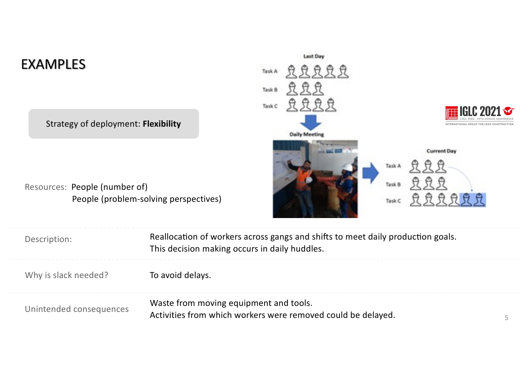### EXAMPLES

Strategy of deployment: **Flexibility**

Resources: People (number of) People (problem-solving perspectives)

| <b>Last Day</b>      |                                                                           |
|----------------------|---------------------------------------------------------------------------|
| TaskA 豆豆豆豆豆          |                                                                           |
| 豆豆豆<br>Task B        |                                                                           |
| Tasks 显显显显           | <b>THE IGLC 2021 <math>\infty</math></b><br>PERÚ - 29TH ANNUAL CONFERENCE |
|                      | INTERNATIONAL GROUP FOR LEAN CONSTRUCTION                                 |
| <b>Daily Meeting</b> |                                                                           |
|                      | <b>Current Day</b>                                                        |
|                      | 昱昱昱<br>Task A                                                             |
|                      | Task B                                                                    |
|                      | Tasks 负负负负负负                                                              |
|                      |                                                                           |

| Description:            | Reallocation of workers across gangs and shifts to meet daily production goals.<br>This decision making occurs in daily huddles. |  |
|-------------------------|----------------------------------------------------------------------------------------------------------------------------------|--|
| Why is slack needed?    | To avoid delays.                                                                                                                 |  |
| Unintended consequences | Waste from moving equipment and tools.<br>Activities from which workers were removed could be delayed.                           |  |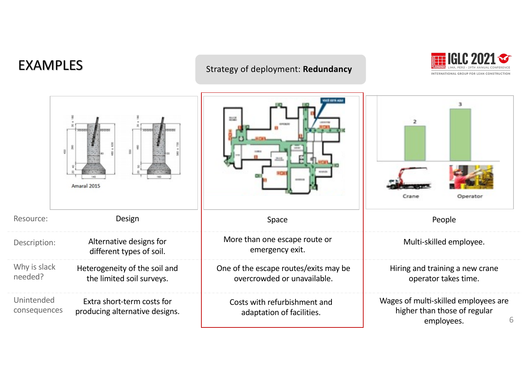#### EXAMPLES Strategy of deployment: **Redundancy**



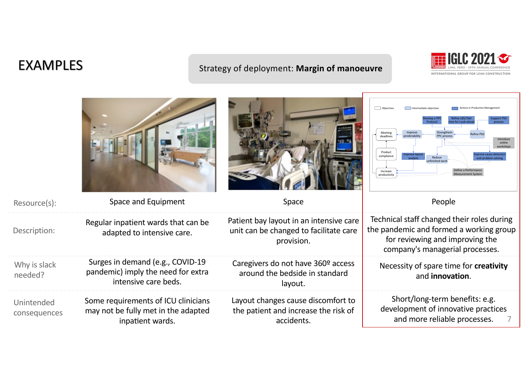#### EXAMPLES

#### Strategy of deployment: **Margin of manoeuvre**



|                            |                                                                                                |                                                                                                 | Objective<br>ntermediate objective<br><b>Actions in Production Managemen</b><br>Refine LBS/ <i>Takt</i><br>Improve<br>Meetin<br>predictabilit<br>PPC process<br>deadlines<br>Introduce<br>online<br>workshops<br>Product<br>ove cause detectior<br>compliance<br>Reduce<br>unfinished wor<br>Increase<br>productivity |
|----------------------------|------------------------------------------------------------------------------------------------|-------------------------------------------------------------------------------------------------|-----------------------------------------------------------------------------------------------------------------------------------------------------------------------------------------------------------------------------------------------------------------------------------------------------------------------|
| Resource(s):               | Space and Equipment                                                                            | Space                                                                                           | People                                                                                                                                                                                                                                                                                                                |
| Description:               | Regular inpatient wards that can be<br>adapted to intensive care.                              | Patient bay layout in an intensive care<br>unit can be changed to facilitate care<br>provision. | Technical staff changed their roles during<br>the pandemic and formed a working group<br>for reviewing and improving the<br>company's managerial processes.                                                                                                                                                           |
| Why is slack<br>needed?    | Surges in demand (e.g., COVID-19<br>pandemic) imply the need for extra<br>intensive care beds. | Caregivers do not have 360º access<br>around the bedside in standard<br>layout.                 | Necessity of spare time for creativity<br>and innovation.                                                                                                                                                                                                                                                             |
| Unintended<br>consequences | Some requirements of ICU clinicians<br>may not be fully met in the adapted<br>inpatient wards. | Layout changes cause discomfort to<br>the patient and increase the risk of<br>accidents.        | Short/long-term benefits: e.g.<br>development of innovative practices<br>and more reliable processes.                                                                                                                                                                                                                 |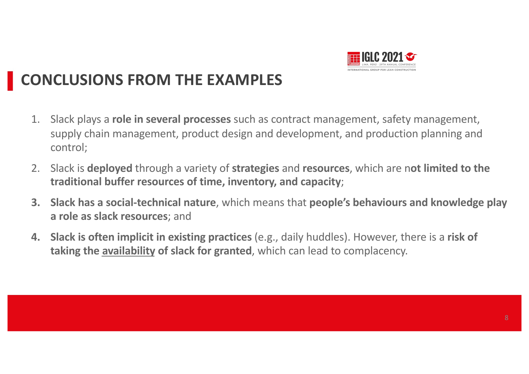

### **CONCLUSIONS FROM THE EXAMPLES**

- 1. Slack plays a **role in several processes** such as contract management, safety management, supply chain management, product design and development, and production planning and control;
- 2. Slack is **deployed** through a variety of **strategies** and **resources**, which are n**ot limited to the traditional buffer resources of time, inventory, and capacity**;
- **3. Slack has a social-technical nature**, which means that **people's behaviours and knowledge play a role as slack resources**; and
- **4. Slack is often implicit in existing practices** (e.g., daily huddles). However, there is a **risk of taking the availability of slack for granted**, which can lead to complacency.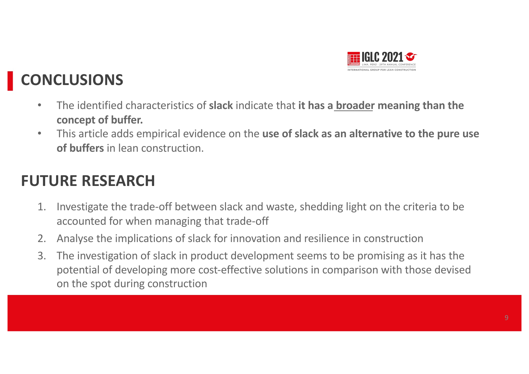

## **CONCLUSIONS**

- The identified characteristics of **slack** indicate that **it has a broader meaning than the concept of buffer.**
- This article adds empirical evidence on the **use of slack as an alternative to the pure use of buffers** in lean construction.

### **FUTURE RESEARCH**

- 1. Investigate the trade-off between slack and waste, shedding light on the criteria to be accounted for when managing that trade-off
- 2. Analyse the implications of slack for innovation and resilience in construction
- 3. The investigation of slack in product development seems to be promising as it has the potential of developing more cost-effective solutions in comparison with those devised on the spot during construction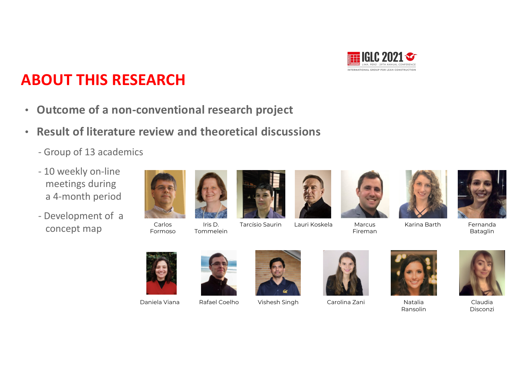

### **ABOUT THIS RESEARCH**

- **Outcome of a non-conventional research project**
- **Result of literature review and theoretical discussions** 
	- Group of 13 academics
	- 10 weekly on-line meetings during a 4-month period
	- Development of a concept map





Iris D. Tommelein









Fernanda Bataglin



Carlos Formoso

Daniela Viana Rafael Coelho Vishesh Singh Carolina Zani Natalia









Ransolin



Claudia Disconzi

Tarcísio Saurin Lauri Koskela Marcus

Fireman